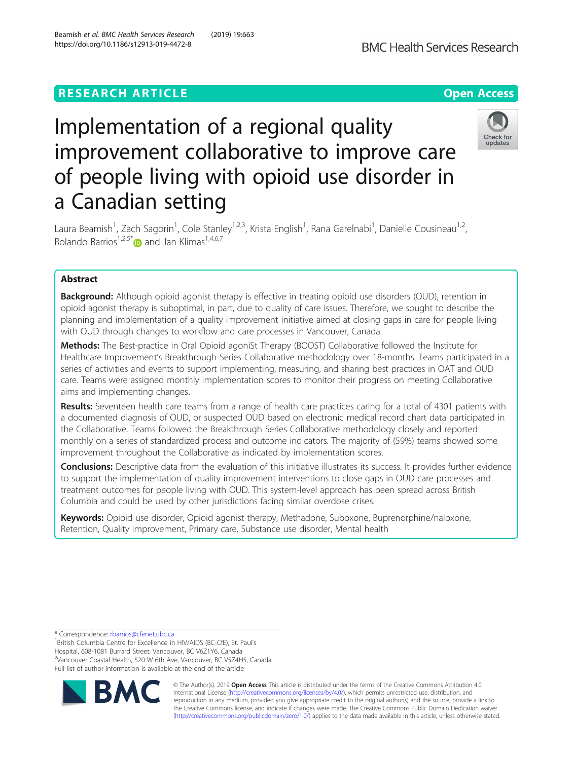# **RESEARCH ARTICLE Example 2014 12:30 The Contract of Contract ACCESS**



# Implementation of a regional quality improvement collaborative to improve care of people living with opioid use disorder in a Canadian setting



Laura Beamish<sup>1</sup>, Zach Sagorin<sup>1</sup>, Cole Stanley<sup>1,2,3</sup>, Krista English<sup>1</sup>, Rana Garelnabi<sup>1</sup>, Danielle Cousineau<sup>1,2</sup>, Rolando Barrios<sup>1,2,5\*</sup> and Jan Klimas<sup>1,4,6,7</sup>

# Abstract

**Background:** Although opioid agonist therapy is effective in treating opioid use disorders (OUD), retention in opioid agonist therapy is suboptimal, in part, due to quality of care issues. Therefore, we sought to describe the planning and implementation of a quality improvement initiative aimed at closing gaps in care for people living with OUD through changes to workflow and care processes in Vancouver, Canada.

Methods: The Best-practice in Oral Opioid agoniSt Therapy (BOOST) Collaborative followed the Institute for Healthcare Improvement's Breakthrough Series Collaborative methodology over 18-months. Teams participated in a series of activities and events to support implementing, measuring, and sharing best practices in OAT and OUD care. Teams were assigned monthly implementation scores to monitor their progress on meeting Collaborative aims and implementing changes.

Results: Seventeen health care teams from a range of health care practices caring for a total of 4301 patients with a documented diagnosis of OUD, or suspected OUD based on electronic medical record chart data participated in the Collaborative. Teams followed the Breakthrough Series Collaborative methodology closely and reported monthly on a series of standardized process and outcome indicators. The majority of (59%) teams showed some improvement throughout the Collaborative as indicated by implementation scores.

Conclusions: Descriptive data from the evaluation of this initiative illustrates its success. It provides further evidence to support the implementation of quality improvement interventions to close gaps in OUD care processes and treatment outcomes for people living with OUD. This system-level approach has been spread across British Columbia and could be used by other jurisdictions facing similar overdose crises.

Keywords: Opioid use disorder, Opioid agonist therapy, Methadone, Suboxone, Buprenorphine/naloxone, Retention, Quality improvement, Primary care, Substance use disorder, Mental health

\* Correspondence: [rbarrios@cfenet.ubc.ca](mailto:rbarrios@cfenet.ubc.ca) <sup>1</sup>

<sup>1</sup>British Columbia Centre for Excellence in HIV/AIDS (BC-CfE), St. Paul's Hospital, 608-1081 Burrard Street, Vancouver, BC V6Z1Y6, Canada <sup>2</sup>Vancouver Coastal Health, 520 W 6th Ave, Vancouver, BC V5Z4H5, Canada Full list of author information is available at the end of the article



© The Author(s). 2019 **Open Access** This article is distributed under the terms of the Creative Commons Attribution 4.0 International License [\(http://creativecommons.org/licenses/by/4.0/](http://creativecommons.org/licenses/by/4.0/)), which permits unrestricted use, distribution, and reproduction in any medium, provided you give appropriate credit to the original author(s) and the source, provide a link to the Creative Commons license, and indicate if changes were made. The Creative Commons Public Domain Dedication waiver [\(http://creativecommons.org/publicdomain/zero/1.0/](http://creativecommons.org/publicdomain/zero/1.0/)) applies to the data made available in this article, unless otherwise stated.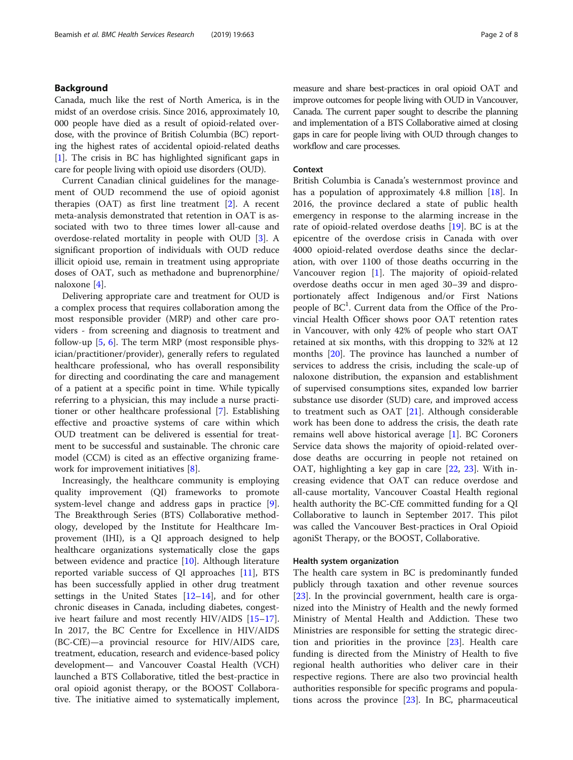# Background

Canada, much like the rest of North America, is in the midst of an overdose crisis. Since 2016, approximately 10, 000 people have died as a result of opioid-related overdose, with the province of British Columbia (BC) reporting the highest rates of accidental opioid-related deaths [[1\]](#page-7-0). The crisis in BC has highlighted significant gaps in care for people living with opioid use disorders (OUD).

Current Canadian clinical guidelines for the management of OUD recommend the use of opioid agonist therapies (OAT) as first line treatment [[2\]](#page-7-0). A recent meta-analysis demonstrated that retention in OAT is associated with two to three times lower all-cause and overdose-related mortality in people with OUD [\[3](#page-7-0)]. A significant proportion of individuals with OUD reduce illicit opioid use, remain in treatment using appropriate doses of OAT, such as methadone and buprenorphine/ naloxone [[4\]](#page-7-0).

Delivering appropriate care and treatment for OUD is a complex process that requires collaboration among the most responsible provider (MRP) and other care providers - from screening and diagnosis to treatment and follow-up  $[5, 6]$  $[5, 6]$  $[5, 6]$ . The term MRP (most responsible physician/practitioner/provider), generally refers to regulated healthcare professional, who has overall responsibility for directing and coordinating the care and management of a patient at a specific point in time. While typically referring to a physician, this may include a nurse practitioner or other healthcare professional [\[7](#page-7-0)]. Establishing effective and proactive systems of care within which OUD treatment can be delivered is essential for treatment to be successful and sustainable. The chronic care model (CCM) is cited as an effective organizing framework for improvement initiatives [[8\]](#page-7-0).

Increasingly, the healthcare community is employing quality improvement (QI) frameworks to promote system-level change and address gaps in practice [\[9](#page-7-0)]. The Breakthrough Series (BTS) Collaborative methodology, developed by the Institute for Healthcare Improvement (IHI), is a QI approach designed to help healthcare organizations systematically close the gaps between evidence and practice [[10\]](#page-7-0). Although literature reported variable success of QI approaches [[11\]](#page-7-0), BTS has been successfully applied in other drug treatment settings in the United States [\[12](#page-7-0)–[14\]](#page-7-0), and for other chronic diseases in Canada, including diabetes, congestive heart failure and most recently HIV/AIDS [[15](#page-7-0)–[17](#page-7-0)]. In 2017, the BC Centre for Excellence in HIV/AIDS (BC-CfE)—a provincial resource for HIV/AIDS care, treatment, education, research and evidence-based policy development— and Vancouver Coastal Health (VCH) launched a BTS Collaborative, titled the best-practice in oral opioid agonist therapy, or the BOOST Collaborative. The initiative aimed to systematically implement, measure and share best-practices in oral opioid OAT and improve outcomes for people living with OUD in Vancouver, Canada. The current paper sought to describe the planning and implementation of a BTS Collaborative aimed at closing gaps in care for people living with OUD through changes to workflow and care processes.

#### Context

British Columbia is Canada's westernmost province and has a population of approximately 4.8 million [[18\]](#page-7-0). In 2016, the province declared a state of public health emergency in response to the alarming increase in the rate of opioid-related overdose deaths [\[19](#page-7-0)]. BC is at the epicentre of the overdose crisis in Canada with over 4000 opioid-related overdose deaths since the declaration, with over 1100 of those deaths occurring in the Vancouver region [\[1](#page-7-0)]. The majority of opioid-related overdose deaths occur in men aged 30–39 and disproportionately affect Indigenous and/or First Nations people of BC<sup>1</sup>. Current data from the Office of the Provincial Health Officer shows poor OAT retention rates in Vancouver, with only 42% of people who start OAT retained at six months, with this dropping to 32% at 12 months [[20](#page-7-0)]. The province has launched a number of services to address the crisis, including the scale-up of naloxone distribution, the expansion and establishment of supervised consumptions sites, expanded low barrier substance use disorder (SUD) care, and improved access to treatment such as OAT [\[21](#page-7-0)]. Although considerable work has been done to address the crisis, the death rate remains well above historical average [[1](#page-7-0)]. BC Coroners Service data shows the majority of opioid-related overdose deaths are occurring in people not retained on OAT, highlighting a key gap in care [\[22](#page-7-0), [23](#page-7-0)]. With increasing evidence that OAT can reduce overdose and all-cause mortality, Vancouver Coastal Health regional health authority the BC-CfE committed funding for a QI Collaborative to launch in September 2017. This pilot was called the Vancouver Best-practices in Oral Opioid agoniSt Therapy, or the BOOST, Collaborative.

#### Health system organization

The health care system in BC is predominantly funded publicly through taxation and other revenue sources [[23\]](#page-7-0). In the provincial government, health care is organized into the Ministry of Health and the newly formed Ministry of Mental Health and Addiction. These two Ministries are responsible for setting the strategic direction and priorities in the province [\[23](#page-7-0)]. Health care funding is directed from the Ministry of Health to five regional health authorities who deliver care in their respective regions. There are also two provincial health authorities responsible for specific programs and populations across the province [\[23\]](#page-7-0). In BC, pharmaceutical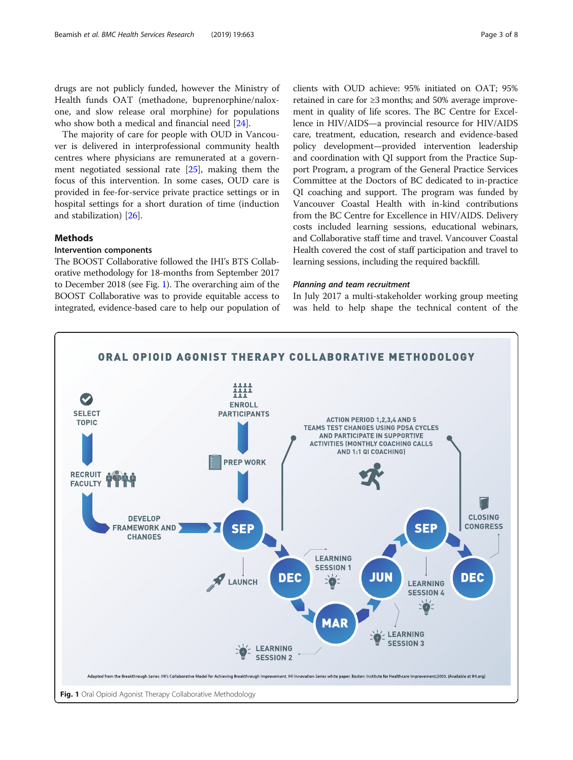drugs are not publicly funded, however the Ministry of Health funds OAT (methadone, buprenorphine/naloxone, and slow release oral morphine) for populations who show both a medical and financial need [[24](#page-7-0)].

The majority of care for people with OUD in Vancouver is delivered in interprofessional community health centres where physicians are remunerated at a government negotiated sessional rate [[25\]](#page-7-0), making them the focus of this intervention. In some cases, OUD care is provided in fee-for-service private practice settings or in hospital settings for a short duration of time (induction and stabilization) [\[26\]](#page-7-0).

# Methods

#### Intervention components

The BOOST Collaborative followed the IHI's BTS Collaborative methodology for 18-months from September 2017 to December 2018 (see Fig. 1). The overarching aim of the BOOST Collaborative was to provide equitable access to integrated, evidence-based care to help our population of

clients with OUD achieve: 95% initiated on OAT; 95% retained in care for ≥3 months; and 50% average improvement in quality of life scores. The BC Centre for Excellence in HIV/AIDS—a provincial resource for HIV/AIDS care, treatment, education, research and evidence-based policy development—provided intervention leadership and coordination with QI support from the Practice Support Program, a program of the General Practice Services Committee at the Doctors of BC dedicated to in-practice QI coaching and support. The program was funded by Vancouver Coastal Health with in-kind contributions from the BC Centre for Excellence in HIV/AIDS. Delivery costs included learning sessions, educational webinars, and Collaborative staff time and travel. Vancouver Coastal Health covered the cost of staff participation and travel to learning sessions, including the required backfill.

#### Planning and team recruitment

In July 2017 a multi-stakeholder working group meeting was held to help shape the technical content of the

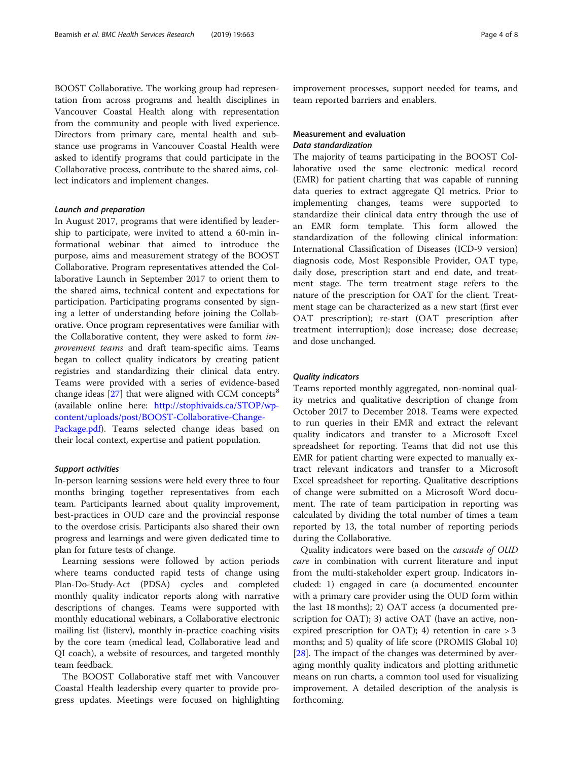BOOST Collaborative. The working group had representation from across programs and health disciplines in Vancouver Coastal Health along with representation from the community and people with lived experience. Directors from primary care, mental health and substance use programs in Vancouver Coastal Health were asked to identify programs that could participate in the Collaborative process, contribute to the shared aims, collect indicators and implement changes.

#### Launch and preparation

In August 2017, programs that were identified by leadership to participate, were invited to attend a 60-min informational webinar that aimed to introduce the purpose, aims and measurement strategy of the BOOST Collaborative. Program representatives attended the Collaborative Launch in September 2017 to orient them to the shared aims, technical content and expectations for participation. Participating programs consented by signing a letter of understanding before joining the Collaborative. Once program representatives were familiar with the Collaborative content, they were asked to form improvement teams and draft team-specific aims. Teams began to collect quality indicators by creating patient registries and standardizing their clinical data entry. Teams were provided with a series of evidence-based change ideas  $[27]$  $[27]$  that were aligned with CCM concepts<sup>8</sup> (available online here: [http://stophivaids.ca/STOP/wp](http://stophivaids.ca/STOP/wp-content/uploads/post/BOOST-Collaborative-Change-Package.pdf)[content/uploads/post/BOOST-Collaborative-Change-](http://stophivaids.ca/STOP/wp-content/uploads/post/BOOST-Collaborative-Change-Package.pdf)[Package.pdf\)](http://stophivaids.ca/STOP/wp-content/uploads/post/BOOST-Collaborative-Change-Package.pdf). Teams selected change ideas based on their local context, expertise and patient population.

#### Support activities

In-person learning sessions were held every three to four months bringing together representatives from each team. Participants learned about quality improvement, best-practices in OUD care and the provincial response to the overdose crisis. Participants also shared their own progress and learnings and were given dedicated time to plan for future tests of change.

Learning sessions were followed by action periods where teams conducted rapid tests of change using Plan-Do-Study-Act (PDSA) cycles and completed monthly quality indicator reports along with narrative descriptions of changes. Teams were supported with monthly educational webinars, a Collaborative electronic mailing list (listerv), monthly in-practice coaching visits by the core team (medical lead, Collaborative lead and QI coach), a website of resources, and targeted monthly team feedback.

The BOOST Collaborative staff met with Vancouver Coastal Health leadership every quarter to provide progress updates. Meetings were focused on highlighting improvement processes, support needed for teams, and team reported barriers and enablers.

# Measurement and evaluation Data standardization

The majority of teams participating in the BOOST Collaborative used the same electronic medical record (EMR) for patient charting that was capable of running data queries to extract aggregate QI metrics. Prior to implementing changes, teams were supported to standardize their clinical data entry through the use of an EMR form template. This form allowed the standardization of the following clinical information: International Classification of Diseases (ICD-9 version) diagnosis code, Most Responsible Provider, OAT type, daily dose, prescription start and end date, and treatment stage. The term treatment stage refers to the nature of the prescription for OAT for the client. Treatment stage can be characterized as a new start (first ever OAT prescription); re-start (OAT prescription after treatment interruption); dose increase; dose decrease; and dose unchanged.

#### Quality indicators

Teams reported monthly aggregated, non-nominal quality metrics and qualitative description of change from October 2017 to December 2018. Teams were expected to run queries in their EMR and extract the relevant quality indicators and transfer to a Microsoft Excel spreadsheet for reporting. Teams that did not use this EMR for patient charting were expected to manually extract relevant indicators and transfer to a Microsoft Excel spreadsheet for reporting. Qualitative descriptions of change were submitted on a Microsoft Word document. The rate of team participation in reporting was calculated by dividing the total number of times a team reported by 13, the total number of reporting periods during the Collaborative.

Quality indicators were based on the cascade of OUD care in combination with current literature and input from the multi-stakeholder expert group. Indicators included: 1) engaged in care (a documented encounter with a primary care provider using the OUD form within the last 18 months); 2) OAT access (a documented prescription for OAT); 3) active OAT (have an active, nonexpired prescription for OAT); 4) retention in care  $>3$ months; and 5) quality of life score (PROMIS Global 10) [[28\]](#page-7-0). The impact of the changes was determined by averaging monthly quality indicators and plotting arithmetic means on run charts, a common tool used for visualizing improvement. A detailed description of the analysis is forthcoming.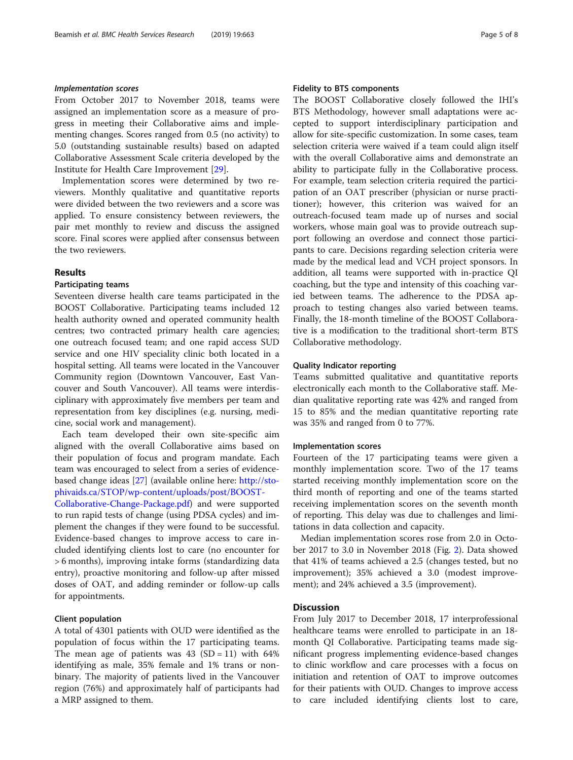# Implementation scores

From October 2017 to November 2018, teams were assigned an implementation score as a measure of progress in meeting their Collaborative aims and implementing changes. Scores ranged from 0.5 (no activity) to 5.0 (outstanding sustainable results) based on adapted Collaborative Assessment Scale criteria developed by the Institute for Health Care Improvement [[29](#page-7-0)].

Implementation scores were determined by two reviewers. Monthly qualitative and quantitative reports were divided between the two reviewers and a score was applied. To ensure consistency between reviewers, the pair met monthly to review and discuss the assigned score. Final scores were applied after consensus between the two reviewers.

# Results

#### Participating teams

Seventeen diverse health care teams participated in the BOOST Collaborative. Participating teams included 12 health authority owned and operated community health centres; two contracted primary health care agencies; one outreach focused team; and one rapid access SUD service and one HIV speciality clinic both located in a hospital setting. All teams were located in the Vancouver Community region (Downtown Vancouver, East Vancouver and South Vancouver). All teams were interdisciplinary with approximately five members per team and representation from key disciplines (e.g. nursing, medicine, social work and management).

Each team developed their own site-specific aim aligned with the overall Collaborative aims based on their population of focus and program mandate. Each team was encouraged to select from a series of evidencebased change ideas [[27](#page-7-0)] (available online here: [http://sto](http://stophivaids.ca/STOP/wp-content/uploads/post/BOOST-Collaborative-Change-Package.pdf)[phivaids.ca/STOP/wp-content/uploads/post/BOOST-](http://stophivaids.ca/STOP/wp-content/uploads/post/BOOST-Collaborative-Change-Package.pdf)

[Collaborative-Change-Package.pdf](http://stophivaids.ca/STOP/wp-content/uploads/post/BOOST-Collaborative-Change-Package.pdf)) and were supported to run rapid tests of change (using PDSA cycles) and implement the changes if they were found to be successful. Evidence-based changes to improve access to care included identifying clients lost to care (no encounter for > 6 months), improving intake forms (standardizing data entry), proactive monitoring and follow-up after missed doses of OAT, and adding reminder or follow-up calls for appointments.

# Client population

A total of 4301 patients with OUD were identified as the population of focus within the 17 participating teams. The mean age of patients was  $43$  (SD = 11) with  $64\%$ identifying as male, 35% female and 1% trans or nonbinary. The majority of patients lived in the Vancouver region (76%) and approximately half of participants had a MRP assigned to them.

# Fidelity to BTS components

The BOOST Collaborative closely followed the IHI's BTS Methodology, however small adaptations were accepted to support interdisciplinary participation and allow for site-specific customization. In some cases, team selection criteria were waived if a team could align itself with the overall Collaborative aims and demonstrate an ability to participate fully in the Collaborative process. For example, team selection criteria required the participation of an OAT prescriber (physician or nurse practitioner); however, this criterion was waived for an outreach-focused team made up of nurses and social workers, whose main goal was to provide outreach support following an overdose and connect those participants to care. Decisions regarding selection criteria were made by the medical lead and VCH project sponsors. In addition, all teams were supported with in-practice QI coaching, but the type and intensity of this coaching varied between teams. The adherence to the PDSA approach to testing changes also varied between teams. Finally, the 18-month timeline of the BOOST Collaborative is a modification to the traditional short-term BTS Collaborative methodology.

# Quality Indicator reporting

Teams submitted qualitative and quantitative reports electronically each month to the Collaborative staff. Median qualitative reporting rate was 42% and ranged from 15 to 85% and the median quantitative reporting rate was 35% and ranged from 0 to 77%.

#### Implementation scores

Fourteen of the 17 participating teams were given a monthly implementation score. Two of the 17 teams started receiving monthly implementation score on the third month of reporting and one of the teams started receiving implementation scores on the seventh month of reporting. This delay was due to challenges and limitations in data collection and capacity.

Median implementation scores rose from 2.0 in October 2017 to 3.0 in November 2018 (Fig. [2\)](#page-5-0). Data showed that 41% of teams achieved a 2.5 (changes tested, but no improvement); 35% achieved a 3.0 (modest improvement); and 24% achieved a 3.5 (improvement).

# **Discussion**

From July 2017 to December 2018, 17 interprofessional healthcare teams were enrolled to participate in an 18 month QI Collaborative. Participating teams made significant progress implementing evidence-based changes to clinic workflow and care processes with a focus on initiation and retention of OAT to improve outcomes for their patients with OUD. Changes to improve access to care included identifying clients lost to care,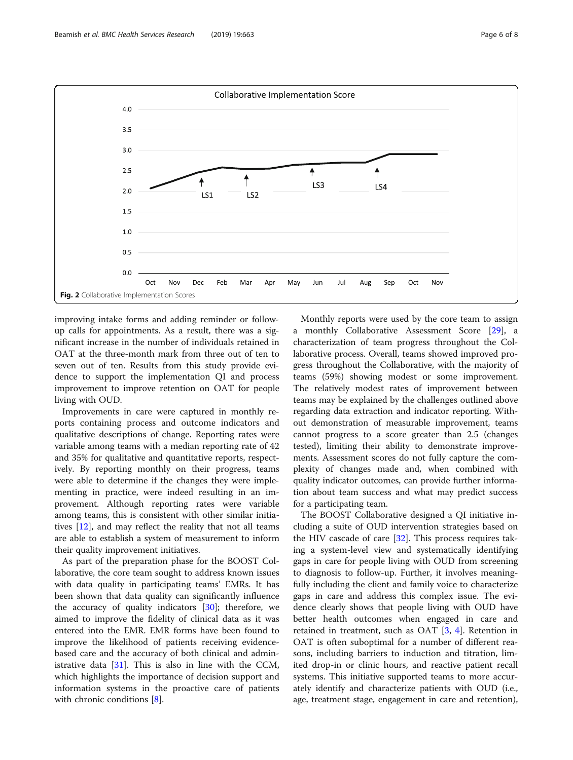<span id="page-5-0"></span>

improving intake forms and adding reminder or followup calls for appointments. As a result, there was a significant increase in the number of individuals retained in OAT at the three-month mark from three out of ten to seven out of ten. Results from this study provide evidence to support the implementation QI and process improvement to improve retention on OAT for people living with OUD.

Improvements in care were captured in monthly reports containing process and outcome indicators and qualitative descriptions of change. Reporting rates were variable among teams with a median reporting rate of 42 and 35% for qualitative and quantitative reports, respectively. By reporting monthly on their progress, teams were able to determine if the changes they were implementing in practice, were indeed resulting in an improvement. Although reporting rates were variable among teams, this is consistent with other similar initiatives [\[12\]](#page-7-0), and may reflect the reality that not all teams are able to establish a system of measurement to inform their quality improvement initiatives.

As part of the preparation phase for the BOOST Collaborative, the core team sought to address known issues with data quality in participating teams' EMRs. It has been shown that data quality can significantly influence the accuracy of quality indicators  $[30]$  $[30]$ ; therefore, we aimed to improve the fidelity of clinical data as it was entered into the EMR. EMR forms have been found to improve the likelihood of patients receiving evidencebased care and the accuracy of both clinical and administrative data [[31\]](#page-7-0). This is also in line with the CCM, which highlights the importance of decision support and information systems in the proactive care of patients with chronic conditions [\[8](#page-7-0)].

Monthly reports were used by the core team to assign a monthly Collaborative Assessment Score [\[29\]](#page-7-0), a characterization of team progress throughout the Collaborative process. Overall, teams showed improved progress throughout the Collaborative, with the majority of teams (59%) showing modest or some improvement. The relatively modest rates of improvement between teams may be explained by the challenges outlined above regarding data extraction and indicator reporting. Without demonstration of measurable improvement, teams cannot progress to a score greater than 2.5 (changes tested), limiting their ability to demonstrate improvements. Assessment scores do not fully capture the complexity of changes made and, when combined with quality indicator outcomes, can provide further information about team success and what may predict success for a participating team.

The BOOST Collaborative designed a QI initiative including a suite of OUD intervention strategies based on the HIV cascade of care  $[32]$  $[32]$ . This process requires taking a system-level view and systematically identifying gaps in care for people living with OUD from screening to diagnosis to follow-up. Further, it involves meaningfully including the client and family voice to characterize gaps in care and address this complex issue. The evidence clearly shows that people living with OUD have better health outcomes when engaged in care and retained in treatment, such as OAT [\[3](#page-7-0), [4](#page-7-0)]. Retention in OAT is often suboptimal for a number of different reasons, including barriers to induction and titration, limited drop-in or clinic hours, and reactive patient recall systems. This initiative supported teams to more accurately identify and characterize patients with OUD (i.e., age, treatment stage, engagement in care and retention),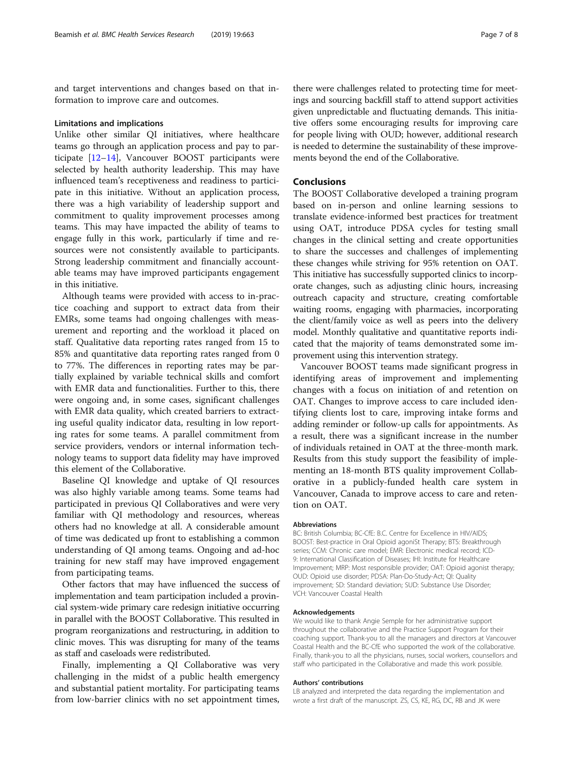and target interventions and changes based on that information to improve care and outcomes.

#### Limitations and implications

Unlike other similar QI initiatives, where healthcare teams go through an application process and pay to participate [[12](#page-7-0)–[14](#page-7-0)], Vancouver BOOST participants were selected by health authority leadership. This may have influenced team's receptiveness and readiness to participate in this initiative. Without an application process, there was a high variability of leadership support and commitment to quality improvement processes among teams. This may have impacted the ability of teams to engage fully in this work, particularly if time and resources were not consistently available to participants. Strong leadership commitment and financially accountable teams may have improved participants engagement in this initiative.

Although teams were provided with access to in-practice coaching and support to extract data from their EMRs, some teams had ongoing challenges with measurement and reporting and the workload it placed on staff. Qualitative data reporting rates ranged from 15 to 85% and quantitative data reporting rates ranged from 0 to 77%. The differences in reporting rates may be partially explained by variable technical skills and comfort with EMR data and functionalities. Further to this, there were ongoing and, in some cases, significant challenges with EMR data quality, which created barriers to extracting useful quality indicator data, resulting in low reporting rates for some teams. A parallel commitment from service providers, vendors or internal information technology teams to support data fidelity may have improved this element of the Collaborative.

Baseline QI knowledge and uptake of QI resources was also highly variable among teams. Some teams had participated in previous QI Collaboratives and were very familiar with QI methodology and resources, whereas others had no knowledge at all. A considerable amount of time was dedicated up front to establishing a common understanding of QI among teams. Ongoing and ad-hoc training for new staff may have improved engagement from participating teams.

Other factors that may have influenced the success of implementation and team participation included a provincial system-wide primary care redesign initiative occurring in parallel with the BOOST Collaborative. This resulted in program reorganizations and restructuring, in addition to clinic moves. This was disrupting for many of the teams as staff and caseloads were redistributed.

Finally, implementing a QI Collaborative was very challenging in the midst of a public health emergency and substantial patient mortality. For participating teams from low-barrier clinics with no set appointment times,

there were challenges related to protecting time for meetings and sourcing backfill staff to attend support activities given unpredictable and fluctuating demands. This initiative offers some encouraging results for improving care for people living with OUD; however, additional research is needed to determine the sustainability of these improvements beyond the end of the Collaborative.

### **Conclusions**

The BOOST Collaborative developed a training program based on in-person and online learning sessions to translate evidence-informed best practices for treatment using OAT, introduce PDSA cycles for testing small changes in the clinical setting and create opportunities to share the successes and challenges of implementing these changes while striving for 95% retention on OAT. This initiative has successfully supported clinics to incorporate changes, such as adjusting clinic hours, increasing outreach capacity and structure, creating comfortable waiting rooms, engaging with pharmacies, incorporating the client/family voice as well as peers into the delivery model. Monthly qualitative and quantitative reports indicated that the majority of teams demonstrated some improvement using this intervention strategy.

Vancouver BOOST teams made significant progress in identifying areas of improvement and implementing changes with a focus on initiation of and retention on OAT. Changes to improve access to care included identifying clients lost to care, improving intake forms and adding reminder or follow-up calls for appointments. As a result, there was a significant increase in the number of individuals retained in OAT at the three-month mark. Results from this study support the feasibility of implementing an 18-month BTS quality improvement Collaborative in a publicly-funded health care system in Vancouver, Canada to improve access to care and retention on OAT.

#### Abbreviations

BC: British Columbia; BC-CfE: B.C. Centre for Excellence in HIV/AIDS; BOOST: Best-practice in Oral Opioid agoniSt Therapy; BTS: Breakthrough series; CCM: Chronic care model; EMR: Electronic medical record; ICD-9: International Classification of Diseases; IHI: Institute for Healthcare Improvement; MRP: Most responsible provider; OAT: Opioid agonist therapy; OUD: Opioid use disorder; PDSA: Plan-Do-Study-Act; QI: Quality improvement; SD: Standard deviation; SUD: Substance Use Disorder; VCH: Vancouver Coastal Health

#### Acknowledgements

We would like to thank Angie Semple for her administrative support throughout the collaborative and the Practice Support Program for their coaching support. Thank-you to all the managers and directors at Vancouver Coastal Health and the BC-CfE who supported the work of the collaborative. Finally, thank-you to all the physicians, nurses, social workers, counsellors and staff who participated in the Collaborative and made this work possible.

#### Authors' contributions

LB analyzed and interpreted the data regarding the implementation and wrote a first draft of the manuscript. ZS, CS, KE, RG, DC, RB and JK were